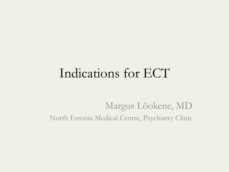#### Indications for ECT

Margus Lõokene, MD North Estonia Medical Centre, Psychiatry Clinic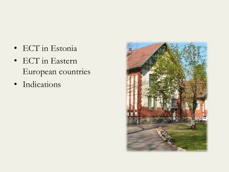- ECT in Estonia
- ECT in Eastern European countries
- Indications

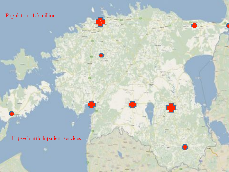#### Population: 1.3 million

 $3<sub>1</sub>$ 

n

11 psychiatric inpatient services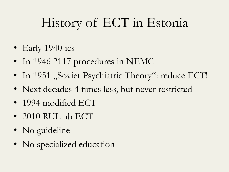## History of ECT in Estonia

- Early 1940-ies
- In 1946 2117 procedures in NEMC
- In 1951 "Soviet Psychiatric Theory": reduce ECT!
- Next decades 4 times less, but never restricted
- 1994 modified ECT
- 2010 RUL ub ECT
- No guideline
- No specialized education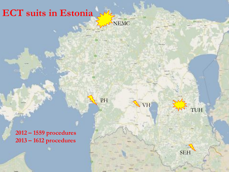#### **ECT suits in Estonia**

NEMC

VH

TUH

SEH

PH

**2012 – 1559 procedures 2013 – 1612 procedures**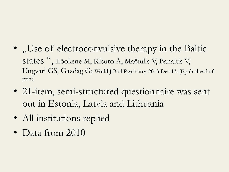- "Use of electroconvulsive therapy in the Baltic states ", Lõokene M, Kisuro A, Mačiulis V, Banaitis V, Ungvari GS, Gazdag G; World J Biol Psychiatry. 2013 Dec 13. [Epub ahead of print]
- 21-item, semi-structured questionnaire was sent out in Estonia, Latvia and Lithuania
- All institutions replied
- Data from 2010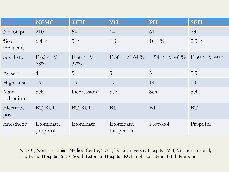|                       | <b>NEMC</b>            | <b>TUH</b>         | <b>VH</b>                 | <b>PH</b>                    | <b>SEH</b>       |
|-----------------------|------------------------|--------------------|---------------------------|------------------------------|------------------|
| No. of pt             | 210                    | 54                 | 14                        | 61                           | 23               |
| $\%$ of<br>inpatients | $6,4\%$                | $3\frac{0}{0}$     | $1,3\%$                   | $10,1\%$                     | $2,3\%$          |
| Sex distr.            | $F 62\%, M$<br>68%     | $F 68\%, M$<br>32% |                           | F 36%, M 64 % F 54 %, M 46 % | $F 60\%, M 40\%$ |
| Av sess               | $\overline{4}$         | 5                  | 5                         | 5                            | 5.5              |
| Highest sess          | 16                     | 15                 | 17                        | 14                           | 10               |
| Main<br>indication    | Sch                    | Depression         | Sch                       | Sch                          | Sch              |
| Electrode<br>pos.     | BT, RUL                | BT, RUL            | BT                        | BT                           | <b>BT</b>        |
| Anesthetic            | Etomidate,<br>propofol | Etomidate          | Etomidate,<br>thiopentale | Propofol                     | Propofol         |

NEMC, North Estonian Medical Centre; TUH, Tartu University Hospital; VH, Viljandi Hospital; PH, Pärnu Hospital; SHE, South Estonian Hospital; RUL, right unilateral, BT, bitemporal.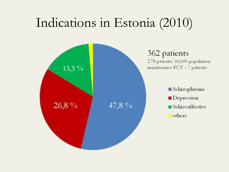#### Indications in Estonia (2010)

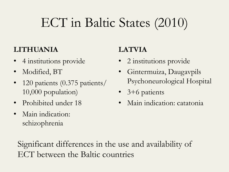## ECT in Baltic States (2010)

#### **LITHUANIA**

- 4 institutions provide
- Modified, BT
- 120 patients (0.375 patients/ 10,000 population)
- Prohibited under 18
- Main indication: schizophrenia

#### **LATVIA**

- 2 institutions provide
- Gintermuiza, Daugavpils Psychoneurological Hospital
- 3+6 patients
- Main indication: catatonia

Significant differences in the use and availability of ECT between the Baltic countries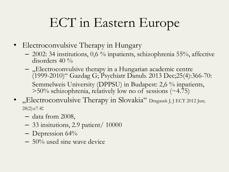- Electroconvulsive Therapy in Hungary
	- $-$  2002: 34 institutions, 0,6 % inpatients, schizophrenia 55%, affective disorders  $40\%$
	- $-$ , Electroconvulsive therapy in a Hungarian academic centre (1999-2010)" Gazdag G; Psychiatr Danub. 2013 Dec;25(4):366-70: Semmelweis University (DPPSU) in Budapest: 2,6 % inpatients,  $>50\%$  schizophrenia, relatively low no of sessions (~4.75)
- "Electroconvulsive Therapy in Slovakia" Dragasek J, J ECT 2012 Jun; 28(2):e7-8:
	- data from 2008,
	- 33 insitutions, 2.9 patient/ 10000
	- $-$  Depression 64%
	- 50% used sine wave device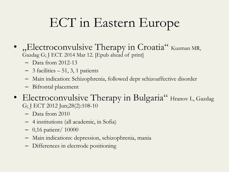- "Electroconvulsive Therapy in Croatia" Kuzman MR, Gazdag G; J ECT. 2014 Mar 12. [Epub ahead of print]
	- Data from 2012-13
	- $-3$  facilities  $-51$ , 3, 1 patients
	- Main indication: Schizophrenia, followed depr schizoaffective disorder
	- Bifrontal placement
- Electroconvulsive Therapy in Bulgaria" Hranov L, Gazdag G; J ECT 2012 Jun;28(2):108-10
	- Data from 2010
	- 4 institutions (all academic, in Sofia)
	- 0,16 patient/ 10000
	- Main indications: depression, schizophrenia, mania
	- Differences in electrode positioning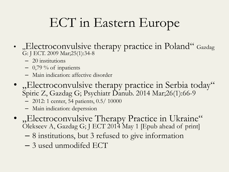- "Electroconvulsive therapy practice in Poland" Gazdag G: J ECT. 2009 Mar;25(1):34-8
	- 20 institutions
	- $-$  0,79 % of inpatients
	- Main indication: affective disorder
- "Electroconvulsive therapy practice in Serbia today" Spiric Z, Gazdag G; Psychiatr Danub. 2014 Mar;26(1):66-9
	- 2012: 1 center, 54 patients, 0.5/ 10000
	- Main indication: deperssion
- "Electroconvulsive Therapy Practice in Ukraine" Olekseev A, Gazdag G; J ECT 2014 May 1 [Epub ahead of print]
	- 8 institutions, but 3 refused to give information
	- 3 used unmodifed ECT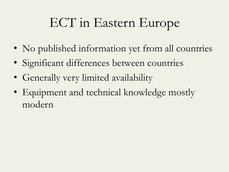- No published information yet from all countries
- Significant differences between countries
- Generally very limited availability
- Equipment and technical knowledge mostly modern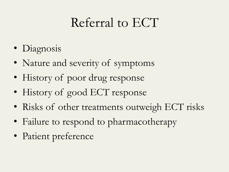#### Referral to ECT

- Diagnosis
- Nature and severity of symptoms
- History of poor drug response
- History of good ECT response
- Risks of other treatments outweigh ECT risks
- Failure to respond to pharmacotherapy
- Patient preference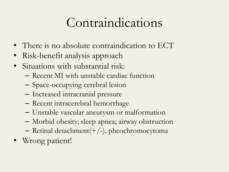#### Contraindications

- There is no absolute contraindication to ECT
- Risk-benefit analysis approach
- Situations with substantial risk:
	- Recent MI with unstable cardiac function
	- Space-occupying cerebral lesion
	- Increased intracranial pressure
	- Recent intracerebral hemorrhage
	- Unstable vascular aneurysm or malformation
	- Morbid obesity; sleep apnea; airway obstruction
	- Retinal detachment(+/-), pheochromocytoma
- Wrong patient!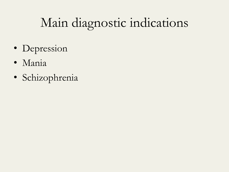## Main diagnostic indications

- Depression
- Mania
- Schizophrenia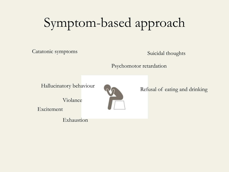## Symptom-based approach

Catatonic symptoms

Suicidal thoughts

Psychomotor retardation

Hallucinatory behaviour



Refusal of eating and drinking

Violance

**Excitement** 

Exhaustion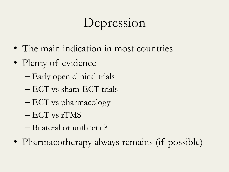## Depression

- The main indication in most countries
- Plenty of evidence
	- Early open clinical trials
	- ECT vs sham-ECT trials
	- ECT vs pharmacology
	- ECT vs rTMS
	- Bilateral or unilateral?
- Pharmacotherapy always remains (if possible)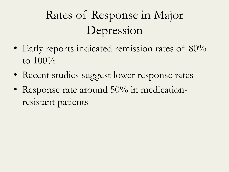## Rates of Response in Major Depression

- Early reports indicated remission rates of 80% to 100%
- Recent studies suggest lower response rates
- Response rate around 50% in medicationresistant patients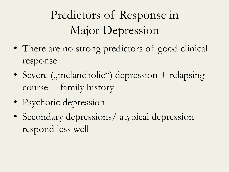Predictors of Response in Major Depression

- There are no strong predictors of good clinical response
- Severe ("melancholic") depression + relapsing course + family history
- Psychotic depression
- Secondary depressions/ atypical depression respond less well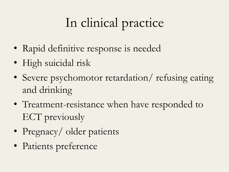# In clinical practice

- Rapid definitive response is needed
- High suicidal risk
- Severe psychomotor retardation/ refusing eating and drinking
- Treatment-resistance when have responded to ECT previously
- Pregnacy/ older patients
- Patients preference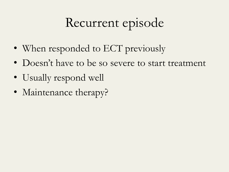## Recurrent episode

- When responded to ECT previously
- Doesn't have to be so severe to start treatment
- Usually respond well
- Maintenance therapy?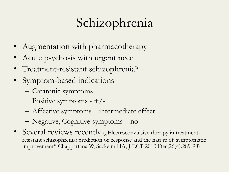## Schizophrenia

- Augmentation with pharmacotherapy
- Acute psychosis with urgent need
- Treatment-resistant schizophrenia?
- Symptom-based indications
	- Catatonic symptoms
	- $-$  Positive symptoms  $-$  +/-
	- Affective symptoms intermediate effect
	- Negative, Cognitive symptoms no
- Several reviews recently ("Electroconvulsive therapy in treatmentresistant schizophrenia: prediction of response and the nature of symptomatic improvement" Chappattana W, Sackeim HA; J ECT 2010 Dec;26(4):289-98)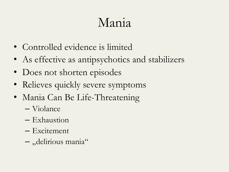### Mania

- Controlled evidence is limited
- As effective as antipsychotics and stabilizers
- Does not shorten episodes
- Relieves quickly severe symptoms
- Mania Can Be Life-Threatening
	- Violance
	- Exhaustion
	- Excitement
	- "delirious mania"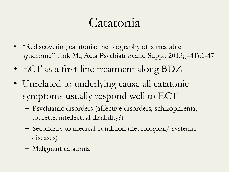#### Catatonia

- "Rediscovering catatonia: the biography of a treatable syndrome" Fink M., Acta Psychiatr Scand Suppl. 2013;(441):1-47
- ECT as a first-line treatment along BDZ
- Unrelated to underlying cause all catatonic symptoms usually respond well to ECT
	- Psychiatric disorders (affective disorders, schizophrenia, tourette, intellectual disability?)
	- Secondary to medical condition (neurological/ systemic diseases)
	- Malignant catatonia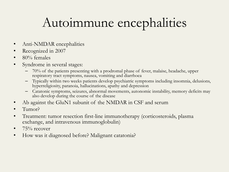## Autoimmune encephalities

- Anti-NMDAR encephalities
- Recognized in 2007
- 80% females
- Syndrome in several stages:
	- 70% of the patients presenting with a prodromal phase of fever, malaise, headache, upper respiratory tract symptoms, nausea, vomiting and diarrhoea
	- Typically within two weeks patients develop psychiatric symptoms including insomnia, delusions, hyperreligiosity, paranoia, hallucinations, apathy and depression
	- Catatonic symptoms, seizures, abnormal movements, autonomic instability, memory deficits may also develop during the course of the disease
- Ab against the GluN1 subunit of the NMDAR in CSF and serum
- Tumor?
- Treatment: tumor resection first-line immunotherapy (corticosteroids, plasma exchange, and intravenous immunoglobulin)
- $75\%$  recover
- How was it diagnosed before? Malignant catatonia?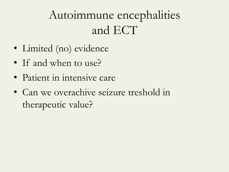#### Autoimmune encephalities and ECT

- Limited (no) evidence
- If and when to use?
- Patient in intensive care
- Can we overachive seizure treshold in therapeutic value?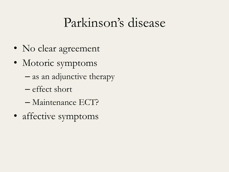#### Parkinson's disease

- No clear agreement
- Motoric symptoms
	- as an adjunctive therapy
	- effect short
	- Maintenance ECT?
- affective symptoms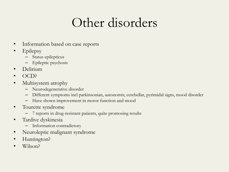#### Other disorders

- Information based on case reports
- Epilepsy
	- Status epilepticus
	- Epileptic psychosis
- Delirium
- OCD?
- Multisystem atrophy
	- Neurodegenerative disorder
	- Different symptoms incl parkinsonian, autonomiv, cerebellar, pyrimidal signs, mood disorder
	- Have shown improvement in motor function and mood
- Tourette syndrome
	- 7 reports in drug-resistant patients, quite promosing results
- Tardive dyskinesia
	- Information contradictory
- Neuroleptic malignant syndrome
- Huntington?
- Wilson?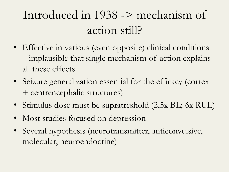#### Introduced in 1938 -> mechanism of action still?

- Effective in various (even opposite) clinical conditions – implausible that single mechanism of action explains all these effects
- Seizure generalization essential for the efficacy (cortex + centrencephalic structures)
- Stimulus dose must be supratreshold (2,5x BL; 6x RUL)
- Most studies focused on depression
- Several hypothesis (neurotransmitter, anticonvulsive, molecular, neuroendocrine)